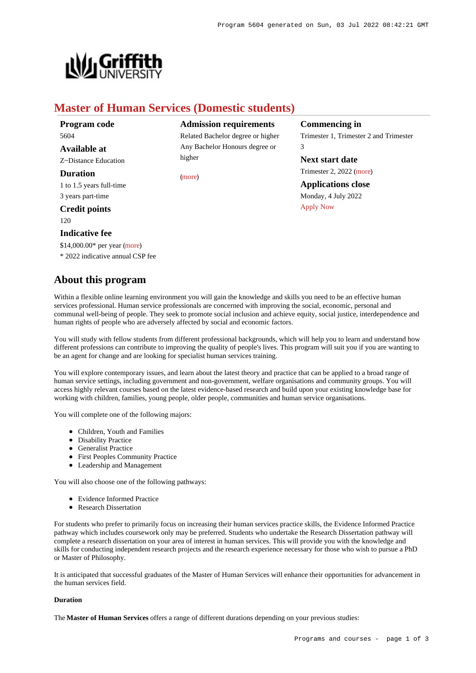

# **Master of Human Services (Domestic students)**

higher

[\(more](https://www148.griffith.edu.au/programs-courses/Program/5604/HowToApply/Domestic#can-i-apply))

| Program code             |
|--------------------------|
| 5604                     |
| Available at             |
| Z~Distance Education     |
| Duration                 |
| 1 to 1.5 years full-time |
| 3 years part-time        |
| <b>Credit points</b>     |

 $120$ 

### **Indicative fee**

\$14,000.00\* per year [\(more](https://www148.griffith.edu.au/programs-courses/Program/5604/Overview/Domestic#fees))

\* 2022 indicative annual CSP fee

# **About this program**

Within a flexible online learning environment you will gain the knowledge and skills you need to be an effective human services professional. Human service professionals are concerned with improving the social, economic, personal and communal well-being of people. They seek to promote social inclusion and achieve equity, social justice, interdependence and human rights of people who are adversely affected by social and economic factors.

**Admission requirements** Related Bachelor degree or higher Any Bachelor Honours degree or

You will study with fellow students from different professional backgrounds, which will help you to learn and understand how different professions can contribute to improving the quality of people's lives. This program will suit you if you are wanting to be an agent for change and are looking for specialist human services training.

You will explore contemporary issues, and learn about the latest theory and practice that can be applied to a broad range of human service settings, including government and non-government, welfare organisations and community groups. You will access highly relevant courses based on the latest evidence-based research and build upon your existing knowledge base for working with children, families, young people, older people, communities and human service organisations.

You will complete one of the following majors:

- Children, Youth and Families
- Disability Practice
- Generalist Practice
- First Peoples Community Practice
- Leadership and Management

You will also choose one of the following pathways:

- Evidence Informed Practice
- Research Dissertation

For students who prefer to primarily focus on increasing their human services practice skills, the Evidence Informed Practice pathway which includes coursework only may be preferred. Students who undertake the Research Dissertation pathway will complete a research dissertation on your area of interest in human services. This will provide you with the knowledge and skills for conducting independent research projects and the research experience necessary for those who wish to pursue a PhD or Master of Philosophy.

It is anticipated that successful graduates of the Master of Human Services will enhance their opportunities for advancement in the human services field.

## **Duration**

The **Master of Human Services** offers a range of different durations depending on your previous studies:

**Commencing in** Trimester 1, Trimester 2 and Trimester 3

**Next start date** Trimester 2, 2022 [\(more](https://www148.griffith.edu.au/programs-courses/Program/5604/HowToApply/Domestic))

**Applications close** Monday, 4 July 2022 [Apply Now](https://www148.griffith.edu.au/programs-courses/Program/5604/Overview/Domestic#)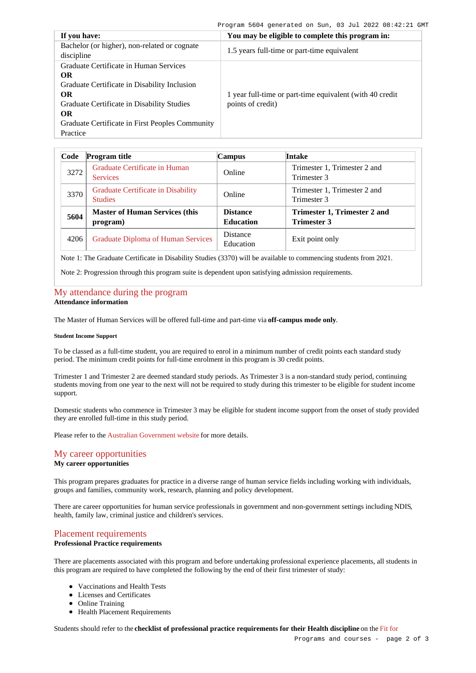| If you have:                                                                                                                                                                                                                               | You may be eligible to complete this program in:                              |  |
|--------------------------------------------------------------------------------------------------------------------------------------------------------------------------------------------------------------------------------------------|-------------------------------------------------------------------------------|--|
| Bachelor (or higher), non-related or cognate<br>discipline                                                                                                                                                                                 | 1.5 years full-time or part-time equivalent                                   |  |
| Graduate Certificate in Human Services<br><b>OR</b><br>Graduate Certificate in Disability Inclusion<br><b>OR</b><br>Graduate Certificate in Disability Studies<br><b>OR</b><br>Graduate Certificate in First Peoples Community<br>Practice | 1 year full-time or part-time equivalent (with 40 credit<br>points of credit) |  |

| Code | <b>Program title</b>                                 | <b>Campus</b>                       | <b>Intake</b>                                      |
|------|------------------------------------------------------|-------------------------------------|----------------------------------------------------|
| 3272 | Graduate Certificate in Human<br><b>Services</b>     | Online                              | Trimester 1, Trimester 2 and<br>Trimester 3        |
| 3370 | Graduate Certificate in Disability<br><b>Studies</b> | Online                              | Trimester 1, Trimester 2 and<br>Trimester 3        |
| 5604 | <b>Master of Human Services (this</b><br>program)    | <b>Distance</b><br><b>Education</b> | Trimester 1, Trimester 2 and<br><b>Trimester 3</b> |
| 4206 | <b>Graduate Diploma of Human Services</b>            | Distance<br>Education               | Exit point only                                    |

Note 1: The Graduate Certificate in Disability Studies (3370) will be available to commencing students from 2021.

Note 2: Progression through this program suite is dependent upon satisfying admission requirements.

## [My attendance during the program](https://www148.griffith.edu.au/programs-courses/Program/5604/Overview/Domestic#attendance) **Attendance information**

The Master of Human Services will be offered full-time and part-time via **off-campus mode only**.

### **Student Income Support**

To be classed as a full-time student, you are required to enrol in a minimum number of credit points each standard study period. The minimum credit points for full-time enrolment in this program is 30 credit points.

Trimester 1 and Trimester 2 are deemed standard study periods. As Trimester 3 is a non-standard study period, continuing students moving from one year to the next will not be required to study during this trimester to be eligible for student income support.

Domestic students who commence in Trimester 3 may be eligible for student income support from the onset of study provided they are enrolled full-time in this study period.

Please refer to the [Australian Government website](https://www.humanservices.gov.au/customer/dhs/centrelink) for more details.

# [My career opportunities](https://www148.griffith.edu.au/programs-courses/Program/5604/Overview/Domestic#opportunities)

# **My career opportunities**

This program prepares graduates for practice in a diverse range of human service fields including working with individuals, groups and families, community work, research, planning and policy development.

There are career opportunities for human service professionals in government and non-government settings including NDIS, health, family law, criminal justice and children's services.

# [Placement requirements](https://www148.griffith.edu.au/programs-courses/Program/5604/Overview/Domestic#placement)

### **Professional Practice requirements**

There are placements associated with this program and before undertaking professional experience placements, all students in this program are required to have completed the following by the end of their first trimester of study:

- Vaccinations and Health Tests
- Licenses and Certificates
- Online Training
- Health Placement Requirements

Students should refer to the **checklist of professional practice requirements for their Health discipline** on the [Fit for](https://www.griffith.edu.au/griffith-health/fit-for-professional-practice)